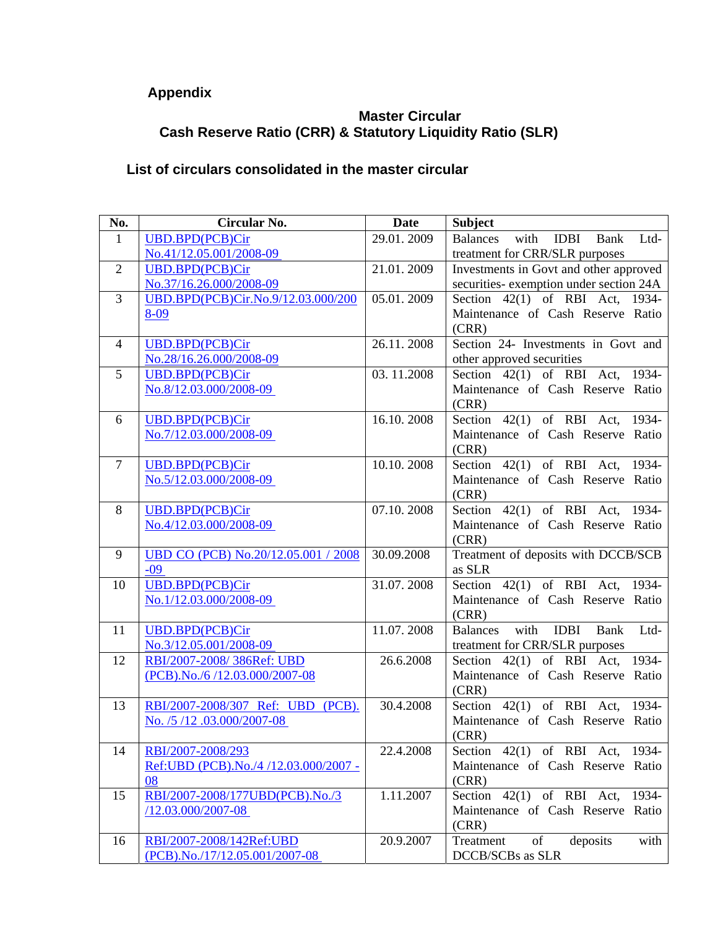## **Appendix**

## **Master Circular Cash Reserve Ratio (CRR) & Statutory Liquidity Ratio (SLR)**

## **List of circulars consolidated in the master circular**

| No.            | Circular No.                                                  | <b>Date</b> | <b>Subject</b>                                                |
|----------------|---------------------------------------------------------------|-------------|---------------------------------------------------------------|
| $\mathbf{1}$   | <b>UBD.BPD(PCB)Cir</b>                                        | 29.01.2009  | <b>Balances</b><br>with<br><b>IDBI</b><br>Bank<br>Ltd-        |
|                | No.41/12.05.001/2008-09                                       |             | treatment for CRR/SLR purposes                                |
| $\overline{2}$ | <b>UBD.BPD(PCB)Cir</b>                                        | 21.01.2009  | Investments in Govt and other approved                        |
|                | No.37/16.26.000/2008-09                                       |             | securities- exemption under section 24A                       |
| 3              | UBD.BPD(PCB)Cir.No.9/12.03.000/200                            | 05.01.2009  | Section 42(1) of RBI Act, 1934-                               |
|                | 8-09                                                          |             | Maintenance of Cash Reserve Ratio                             |
|                |                                                               |             | (CRR)                                                         |
| $\overline{4}$ | <b>UBD.BPD(PCB)Cir</b>                                        | 26.11.2008  | Section 24- Investments in Govt and                           |
|                | No.28/16.26.000/2008-09                                       |             | other approved securities                                     |
| 5              | <b>UBD.BPD(PCB)Cir</b>                                        | 03.11.2008  | Section $42(1)$ of RBI Act, $1934-$                           |
|                | No.8/12.03.000/2008-09                                        |             | Maintenance of Cash Reserve Ratio                             |
|                |                                                               |             | (CRR)                                                         |
| 6              | <b>UBD.BPD(PCB)Cir</b>                                        | 16.10.2008  | Section 42(1) of RBI Act, 1934-                               |
|                | No.7/12.03.000/2008-09                                        |             | Maintenance of Cash Reserve Ratio                             |
|                |                                                               |             | (CRR)                                                         |
| $\tau$         | <b>UBD.BPD(PCB)Cir</b>                                        | 10.10.2008  | Section 42(1) of RBI Act, 1934-                               |
|                | No.5/12.03.000/2008-09                                        |             | Maintenance of Cash Reserve Ratio                             |
|                |                                                               |             | (CRR)                                                         |
| 8              | <b>UBD.BPD(PCB)Cir</b>                                        | 07.10.2008  | Section 42(1) of RBI Act, 1934-                               |
|                | No.4/12.03.000/2008-09                                        |             | Maintenance of Cash Reserve Ratio                             |
|                |                                                               |             | (CRR)                                                         |
| 9              | UBD CO (PCB) No.20/12.05.001 / 2008                           | 30.09.2008  | Treatment of deposits with DCCB/SCB                           |
|                | $-09$                                                         |             | as SLR                                                        |
| 10             | <b>UBD.BPD(PCB)Cir</b>                                        | 31.07.2008  | Section 42(1) of RBI Act, 1934-                               |
|                | No.1/12.03.000/2008-09                                        |             | Maintenance of Cash Reserve Ratio                             |
|                |                                                               |             | (CRR)                                                         |
| 11             | <b>UBD.BPD(PCB)Cir</b>                                        | 11.07.2008  | <b>Balances</b><br>with<br><b>IDBI</b><br><b>Bank</b><br>Ltd- |
|                | No.3/12.05.001/2008-09                                        |             | treatment for CRR/SLR purposes                                |
| 12             | RBI/2007-2008/386Ref: UBD                                     | 26.6.2008   | Section 42(1) of RBI Act, 1934-                               |
|                | (PCB).No./6/12.03.000/2007-08                                 |             | Maintenance of Cash Reserve Ratio                             |
| 13             |                                                               | 30.4.2008   | (CRR)<br>Section $42(1)$ of RBI Act, 1934-                    |
|                | RBI/2007-2008/307 Ref: UBD (PCB).<br>No. /5/12.03.000/2007-08 |             | Maintenance of Cash Reserve Ratio                             |
|                |                                                               |             | (CRR)                                                         |
| 14             | RBI/2007-2008/293                                             | 22.4.2008   | Section 42(1) of RBI Act, 1934-                               |
|                | Ref:UBD (PCB).No./4 /12.03.000/2007 -                         |             | Maintenance of Cash Reserve Ratio                             |
|                | 08                                                            |             | (CRR)                                                         |
| 15             | RBI/2007-2008/177UBD(PCB).No./3                               | 1.11.2007   | Section 42(1) of RBI Act, 1934-                               |
|                | /12.03.000/2007-08                                            |             | Maintenance of Cash Reserve Ratio                             |
|                |                                                               |             | (CRR)                                                         |
| 16             | RBI/2007-2008/142Ref:UBD                                      | 20.9.2007   | of<br>deposits<br>with<br>Treatment                           |
|                | (PCB).No./17/12.05.001/2007-08                                |             | <b>DCCB/SCBs</b> as SLR                                       |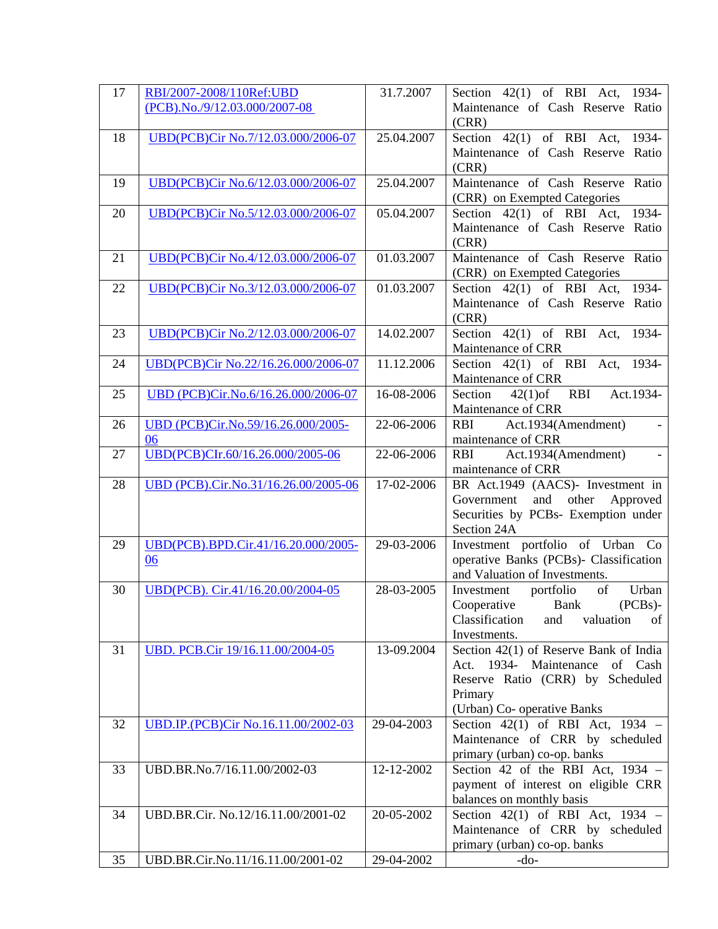| 17 | RBI/2007-2008/110Ref:UBD                 | 31.7.2007  | Section $42(1)$ of RBI Act, 1934-                                                                                                                                           |
|----|------------------------------------------|------------|-----------------------------------------------------------------------------------------------------------------------------------------------------------------------------|
|    | (PCB).No./9/12.03.000/2007-08            |            | Maintenance of Cash Reserve Ratio<br>(CRR)                                                                                                                                  |
| 18 | UBD(PCB)Cir No.7/12.03.000/2006-07       | 25.04.2007 | Section 42(1) of RBI Act, 1934-                                                                                                                                             |
|    |                                          |            | Maintenance of Cash Reserve Ratio<br>(CRR)                                                                                                                                  |
| 19 | UBD(PCB)Cir No.6/12.03.000/2006-07       | 25.04.2007 | Maintenance of Cash Reserve Ratio                                                                                                                                           |
|    |                                          |            | (CRR) on Exempted Categories                                                                                                                                                |
| 20 | UBD(PCB)Cir No.5/12.03.000/2006-07       | 05.04.2007 | Section $42(1)$ of RBI Act,<br>1934-                                                                                                                                        |
|    |                                          |            | Maintenance of Cash Reserve Ratio<br>(CRR)                                                                                                                                  |
| 21 | UBD(PCB)Cir No.4/12.03.000/2006-07       | 01.03.2007 | Maintenance of Cash Reserve Ratio                                                                                                                                           |
|    |                                          |            | (CRR) on Exempted Categories                                                                                                                                                |
| 22 | UBD(PCB)Cir No.3/12.03.000/2006-07       | 01.03.2007 | 1934-<br>Section $42(1)$ of RBI Act,                                                                                                                                        |
|    |                                          |            | Maintenance of Cash Reserve Ratio<br>(CRR)                                                                                                                                  |
| 23 | UBD(PCB)Cir No.2/12.03.000/2006-07       | 14.02.2007 | Section $42(1)$ of RBI Act,<br>1934-                                                                                                                                        |
| 24 | UBD(PCB)Cir No.22/16.26.000/2006-07      | 11.12.2006 | Maintenance of CRR<br>Section 42(1) of RBI Act, 1934-                                                                                                                       |
|    |                                          |            | Maintenance of CRR                                                                                                                                                          |
| 25 | UBD (PCB)Cir.No.6/16.26.000/2006-07      | 16-08-2006 | <b>RBI</b><br>Section<br>$42(1)$ of<br>Act.1934-                                                                                                                            |
|    |                                          |            | Maintenance of CRR                                                                                                                                                          |
| 26 | UBD (PCB)Cir.No.59/16.26.000/2005-<br>06 | 22-06-2006 | Act.1934(Amendment)<br><b>RBI</b><br>maintenance of CRR                                                                                                                     |
| 27 | UBD(PCB)CIr.60/16.26.000/2005-06         | 22-06-2006 | Act.1934(Amendment)<br><b>RBI</b>                                                                                                                                           |
|    |                                          |            | maintenance of CRR                                                                                                                                                          |
| 28 | UBD (PCB).Cir.No.31/16.26.00/2005-06     | 17-02-2006 | BR Act.1949 (AACS)- Investment in                                                                                                                                           |
|    |                                          |            | and<br>other Approved<br>Government                                                                                                                                         |
|    |                                          |            | Securities by PCBs- Exemption under                                                                                                                                         |
|    |                                          |            | Section 24A                                                                                                                                                                 |
| 29 | UBD(PCB).BPD.Cir.41/16.20.000/2005-      | 29-03-2006 | Investment portfolio of Urban Co                                                                                                                                            |
|    | 06                                       |            | operative Banks (PCBs)- Classification                                                                                                                                      |
|    |                                          |            | and Valuation of Investments.                                                                                                                                               |
| 30 | UBD(PCB). Cir.41/16.20.00/2004-05        | 28-03-2005 | $% \left( \left( \mathcal{A},\mathcal{A}\right) \right) =\left( \mathcal{A},\mathcal{A}\right)$ of<br>portfolio<br>Urban<br>Investment<br>$(PCBs)$ -<br>Cooperative<br>Bank |
|    |                                          |            | Classification<br>valuation<br>of<br>and                                                                                                                                    |
|    |                                          |            | Investments.                                                                                                                                                                |
| 31 | UBD. PCB.Cir 19/16.11.00/2004-05         | 13-09.2004 | Section 42(1) of Reserve Bank of India                                                                                                                                      |
|    |                                          |            | Act. 1934- Maintenance<br>of Cash                                                                                                                                           |
|    |                                          |            | Reserve Ratio (CRR) by Scheduled                                                                                                                                            |
|    |                                          |            | Primary                                                                                                                                                                     |
|    |                                          |            | (Urban) Co- operative Banks                                                                                                                                                 |
| 32 | UBD.IP.(PCB)Cir No.16.11.00/2002-03      | 29-04-2003 | Section $42(1)$ of RBI Act, $1934$ -                                                                                                                                        |
|    |                                          |            | Maintenance of CRR by scheduled                                                                                                                                             |
|    |                                          |            | primary (urban) co-op. banks                                                                                                                                                |
| 33 | UBD.BR.No.7/16.11.00/2002-03             | 12-12-2002 | Section 42 of the RBI Act, $1934 -$<br>payment of interest on eligible CRR                                                                                                  |
|    |                                          |            | balances on monthly basis                                                                                                                                                   |
| 34 | UBD.BR.Cir. No.12/16.11.00/2001-02       | 20-05-2002 | Section $42(1)$ of RBI Act, $1934$ -                                                                                                                                        |
|    |                                          |            | Maintenance of CRR by scheduled                                                                                                                                             |
|    |                                          |            | primary (urban) co-op. banks                                                                                                                                                |
| 35 | UBD.BR.Cir.No.11/16.11.00/2001-02        | 29-04-2002 | $-do-$                                                                                                                                                                      |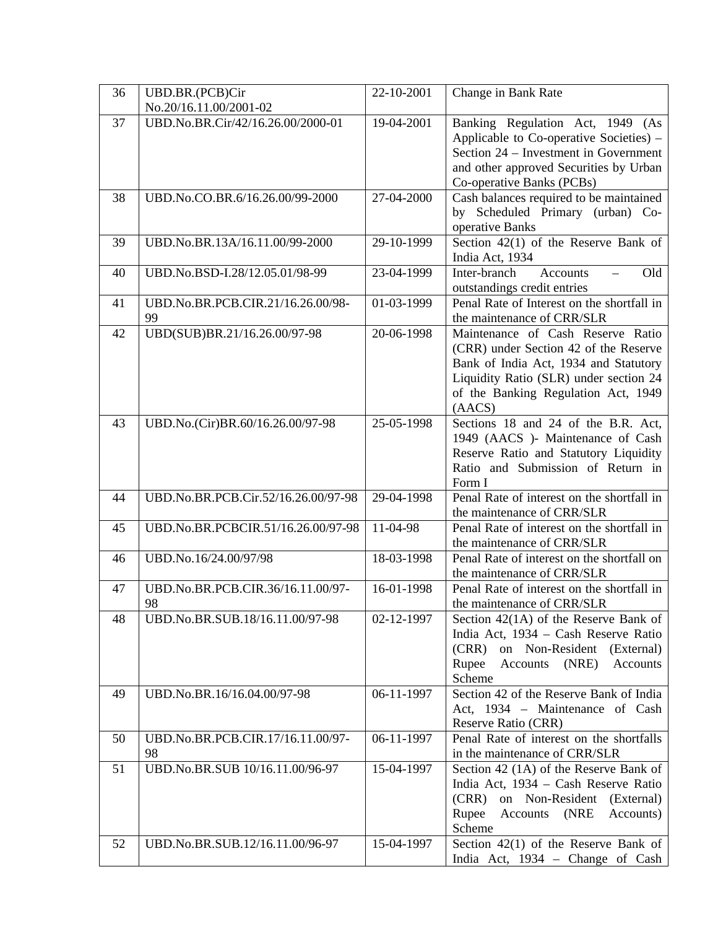| 36 | UBD.BR.(PCB)Cir                         | 22-10-2001   | Change in Bank Rate                                                                                                                                                                                            |
|----|-----------------------------------------|--------------|----------------------------------------------------------------------------------------------------------------------------------------------------------------------------------------------------------------|
|    | No.20/16.11.00/2001-02                  |              |                                                                                                                                                                                                                |
| 37 | UBD.No.BR.Cir/42/16.26.00/2000-01       | 19-04-2001   | Banking Regulation Act, 1949 (As<br>Applicable to Co-operative Societies) -<br>Section 24 – Investment in Government<br>and other approved Securities by Urban<br>Co-operative Banks (PCBs)                    |
| 38 | UBD.No.CO.BR.6/16.26.00/99-2000         | 27-04-2000   | Cash balances required to be maintained<br>by Scheduled Primary (urban) Co-<br>operative Banks                                                                                                                 |
| 39 | UBD.No.BR.13A/16.11.00/99-2000          | 29-10-1999   | Section $42(1)$ of the Reserve Bank of<br>India Act, 1934                                                                                                                                                      |
| 40 | UBD.No.BSD-I.28/12.05.01/98-99          | $23-04-1999$ | Old<br>Inter-branch<br><b>Accounts</b><br>outstandings credit entries                                                                                                                                          |
| 41 | UBD.No.BR.PCB.CIR.21/16.26.00/98-<br>99 | 01-03-1999   | Penal Rate of Interest on the shortfall in<br>the maintenance of CRR/SLR                                                                                                                                       |
| 42 | UBD(SUB)BR.21/16.26.00/97-98            | 20-06-1998   | Maintenance of Cash Reserve Ratio<br>(CRR) under Section 42 of the Reserve<br>Bank of India Act, 1934 and Statutory<br>Liquidity Ratio (SLR) under section 24<br>of the Banking Regulation Act, 1949<br>(AACS) |
| 43 | UBD.No.(Cir)BR.60/16.26.00/97-98        | 25-05-1998   | Sections 18 and 24 of the B.R. Act,<br>1949 (AACS )- Maintenance of Cash<br>Reserve Ratio and Statutory Liquidity<br>Ratio and Submission of Return in<br>Form I                                               |
| 44 | UBD.No.BR.PCB.Cir.52/16.26.00/97-98     | 29-04-1998   | Penal Rate of interest on the shortfall in<br>the maintenance of CRR/SLR                                                                                                                                       |
| 45 | UBD.No.BR.PCBCIR.51/16.26.00/97-98      | 11-04-98     | Penal Rate of interest on the shortfall in<br>the maintenance of CRR/SLR                                                                                                                                       |
| 46 | UBD.No.16/24.00/97/98                   | 18-03-1998   | Penal Rate of interest on the shortfall on<br>the maintenance of CRR/SLR                                                                                                                                       |
| 47 | UBD.No.BR.PCB.CIR.36/16.11.00/97-<br>98 | 16-01-1998   | Penal Rate of interest on the shortfall in<br>the maintenance of CRR/SLR                                                                                                                                       |
| 48 | UBD.No.BR.SUB.18/16.11.00/97-98         | 02-12-1997   | Section $42(1A)$ of the Reserve Bank of<br>India Act, 1934 - Cash Reserve Ratio<br>on Non-Resident (External)<br>(CRR)<br>Rupee<br>Accounts<br>(NRE)<br>Accounts<br>Scheme                                     |
| 49 | UBD.No.BR.16/16.04.00/97-98             | 06-11-1997   | Section 42 of the Reserve Bank of India<br>Act, 1934 - Maintenance of Cash<br>Reserve Ratio (CRR)                                                                                                              |
| 50 | UBD.No.BR.PCB.CIR.17/16.11.00/97-<br>98 | 06-11-1997   | Penal Rate of interest on the shortfalls<br>in the maintenance of CRR/SLR                                                                                                                                      |
| 51 | UBD.No.BR.SUB 10/16.11.00/96-97         | 15-04-1997   | Section 42 (1A) of the Reserve Bank of<br>India Act, 1934 - Cash Reserve Ratio<br>on Non-Resident (External)<br>(CRR)<br>Rupee<br>Accounts<br>(NRE<br>Accounts)<br>Scheme                                      |
| 52 | UBD.No.BR.SUB.12/16.11.00/96-97         | 15-04-1997   | Section $42(1)$ of the Reserve Bank of<br>India Act, 1934 - Change of Cash                                                                                                                                     |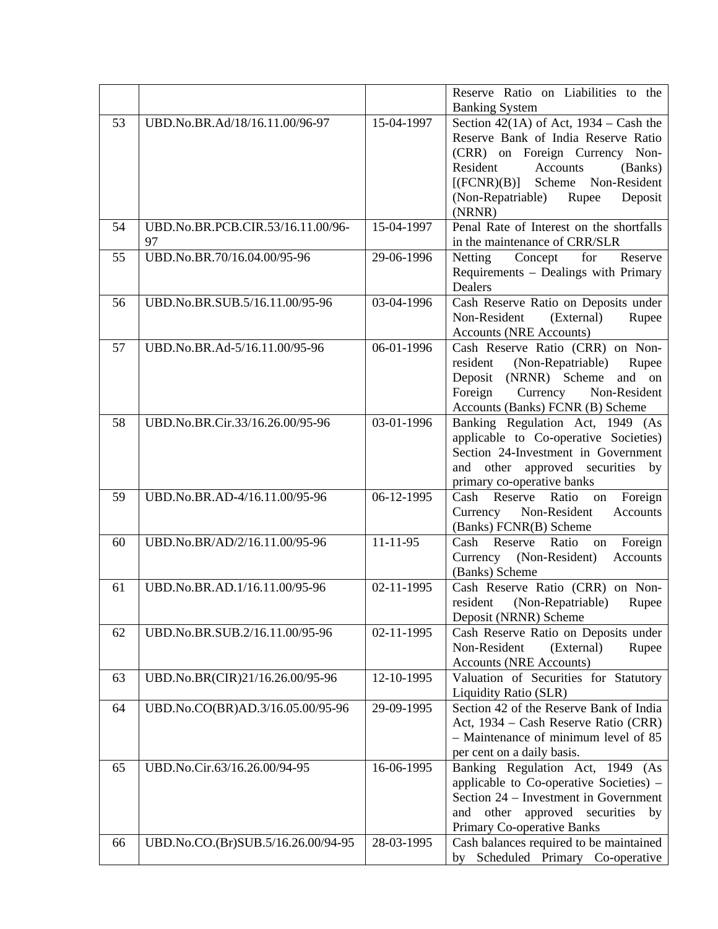|    |                                    |                | Reserve Ratio on Liabilities to the       |
|----|------------------------------------|----------------|-------------------------------------------|
|    |                                    |                | <b>Banking System</b>                     |
| 53 | UBD.No.BR.Ad/18/16.11.00/96-97     | 15-04-1997     | Section 42(1A) of Act, $1934 - Cash$ the  |
|    |                                    |                | Reserve Bank of India Reserve Ratio       |
|    |                                    |                | (CRR) on Foreign Currency Non-            |
|    |                                    |                | Resident<br>Accounts<br>(Banks)           |
|    |                                    |                | $[$ (FCNR) $(B)$ ] Scheme Non-Resident    |
|    |                                    |                | Deposit<br>(Non-Repatriable)<br>Rupee     |
|    |                                    |                | (NRNR)                                    |
| 54 | UBD.No.BR.PCB.CIR.53/16.11.00/96-  | 15-04-1997     | Penal Rate of Interest on the shortfalls  |
|    | 97                                 |                | in the maintenance of CRR/SLR             |
| 55 | UBD.No.BR.70/16.04.00/95-96        | 29-06-1996     | Netting<br>Concept<br>for<br>Reserve      |
|    |                                    |                | Requirements - Dealings with Primary      |
|    |                                    |                | Dealers                                   |
| 56 | UBD.No.BR.SUB.5/16.11.00/95-96     | 03-04-1996     | Cash Reserve Ratio on Deposits under      |
|    |                                    |                | Non-Resident<br>(External)<br>Rupee       |
|    |                                    |                | <b>Accounts (NRE Accounts)</b>            |
| 57 | UBD.No.BR.Ad-5/16.11.00/95-96      | 06-01-1996     | Cash Reserve Ratio (CRR) on Non-          |
|    |                                    |                | resident<br>(Non-Repatriable)<br>Rupee    |
|    |                                    |                | Deposit (NRNR) Scheme and on              |
|    |                                    |                | Currency Non-Resident<br>Foreign          |
|    |                                    |                | Accounts (Banks) FCNR (B) Scheme          |
| 58 | UBD.No.BR.Cir.33/16.26.00/95-96    | 03-01-1996     | Banking Regulation Act, 1949 (As          |
|    |                                    |                | applicable to Co-operative Societies)     |
|    |                                    |                | Section 24-Investment in Government       |
|    |                                    |                | other approved securities by<br>and       |
|    |                                    |                | primary co-operative banks                |
| 59 | UBD.No.BR.AD-4/16.11.00/95-96      | 06-12-1995     | Cash Reserve Ratio<br>Foreign<br>on       |
|    |                                    |                | Currency Non-Resident<br>Accounts         |
|    |                                    |                | (Banks) FCNR(B) Scheme                    |
| 60 | UBD.No.BR/AD/2/16.11.00/95-96      | $11 - 11 - 95$ | Reserve<br>Ratio<br>Foreign<br>Cash<br>on |
|    |                                    |                | (Non-Resident)<br>Accounts<br>Currency    |
|    |                                    |                | (Banks) Scheme                            |
| 61 | UBD.No.BR.AD.1/16.11.00/95-96      | 02-11-1995     | Cash Reserve Ratio (CRR) on Non-          |
|    |                                    |                | resident<br>(Non-Repatriable)<br>Rupee    |
|    |                                    |                | Deposit (NRNR) Scheme                     |
| 62 | UBD.No.BR.SUB.2/16.11.00/95-96     | 02-11-1995     | Cash Reserve Ratio on Deposits under      |
|    |                                    |                | Non-Resident<br>(External)<br>Rupee       |
|    |                                    |                | <b>Accounts (NRE Accounts)</b>            |
| 63 | UBD.No.BR(CIR)21/16.26.00/95-96    | 12-10-1995     | Valuation of Securities for Statutory     |
|    |                                    |                | Liquidity Ratio (SLR)                     |
| 64 | UBD.No.CO(BR)AD.3/16.05.00/95-96   | 29-09-1995     | Section 42 of the Reserve Bank of India   |
|    |                                    |                | Act, 1934 – Cash Reserve Ratio (CRR)      |
|    |                                    |                | - Maintenance of minimum level of 85      |
|    |                                    |                | per cent on a daily basis.                |
| 65 | UBD.No.Cir.63/16.26.00/94-95       | 16-06-1995     | Banking Regulation Act, 1949 (As          |
|    |                                    |                | applicable to Co-operative Societies) -   |
|    |                                    |                | Section 24 – Investment in Government     |
|    |                                    |                | approved securities<br>other<br>and<br>by |
|    |                                    |                | Primary Co-operative Banks                |
| 66 | UBD.No.CO.(Br)SUB.5/16.26.00/94-95 | 28-03-1995     | Cash balances required to be maintained   |
|    |                                    |                | by Scheduled Primary Co-operative         |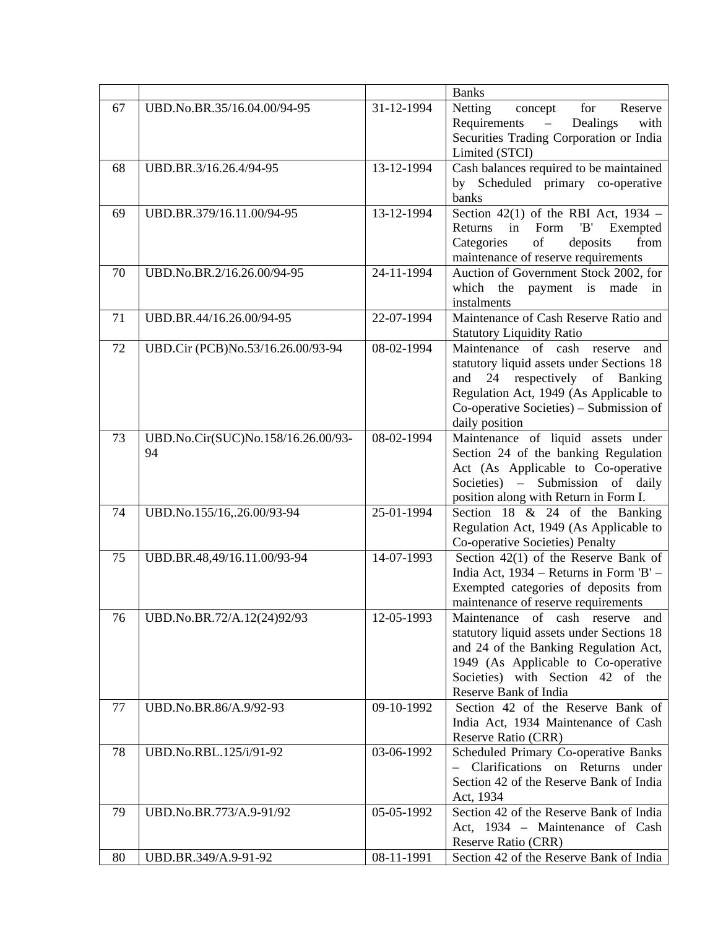|    |                                    |            | <b>Banks</b>                                                                         |
|----|------------------------------------|------------|--------------------------------------------------------------------------------------|
| 67 | UBD.No.BR.35/16.04.00/94-95        | 31-12-1994 | Netting<br>for<br>Reserve<br>concept<br>Requirements<br>Dealings<br>with<br>$\equiv$ |
|    |                                    |            | Securities Trading Corporation or India<br>Limited (STCI)                            |
| 68 | UBD.BR.3/16.26.4/94-95             | 13-12-1994 | Cash balances required to be maintained                                              |
|    |                                    |            | by Scheduled primary co-operative                                                    |
|    |                                    |            | banks                                                                                |
| 69 | UBD.BR.379/16.11.00/94-95          | 13-12-1994 | Section 42(1) of the RBI Act, $1934 -$                                               |
|    |                                    |            | Returns<br>in<br>Form<br>'B'<br>Exempted                                             |
|    |                                    |            | Categories<br>of<br>from<br>deposits                                                 |
|    |                                    |            | maintenance of reserve requirements                                                  |
| 70 | UBD.No.BR.2/16.26.00/94-95         | 24-11-1994 | Auction of Government Stock 2002, for                                                |
|    |                                    |            | which<br>the payment is made<br>$\sin$                                               |
|    |                                    |            | instalments                                                                          |
| 71 | UBD.BR.44/16.26.00/94-95           | 22-07-1994 | Maintenance of Cash Reserve Ratio and                                                |
|    |                                    |            | <b>Statutory Liquidity Ratio</b>                                                     |
| 72 | UBD.Cir (PCB)No.53/16.26.00/93-94  | 08-02-1994 | Maintenance of cash<br>reserve<br>and                                                |
|    |                                    |            | statutory liquid assets under Sections 18                                            |
|    |                                    |            | 24 respectively of Banking<br>and                                                    |
|    |                                    |            | Regulation Act, 1949 (As Applicable to                                               |
|    |                                    |            | Co-operative Societies) – Submission of                                              |
|    |                                    |            | daily position                                                                       |
| 73 | UBD.No.Cir(SUC)No.158/16.26.00/93- | 08-02-1994 | Maintenance of liquid assets under                                                   |
|    | 94                                 |            | Section 24 of the banking Regulation                                                 |
|    |                                    |            | Act (As Applicable to Co-operative                                                   |
|    |                                    |            | Submission of daily<br>Societies) $-$                                                |
|    |                                    |            | position along with Return in Form I.                                                |
| 74 | UBD.No.155/16,.26.00/93-94         | 25-01-1994 | Section 18 $& 24$ of the Banking                                                     |
|    |                                    |            | Regulation Act, 1949 (As Applicable to                                               |
|    |                                    |            | Co-operative Societies) Penalty                                                      |
| 75 | UBD.BR.48,49/16.11.00/93-94        | 14-07-1993 | Section 42(1) of the Reserve Bank of                                                 |
|    |                                    |            | India Act, 1934 – Returns in Form 'B' –<br>Exempted categories of deposits from      |
|    |                                    |            | maintenance of reserve requirements                                                  |
| 76 | UBD.No.BR.72/A.12(24)92/93         | 12-05-1993 | Maintenance of cash reserve<br>and                                                   |
|    |                                    |            | statutory liquid assets under Sections 18                                            |
|    |                                    |            | and 24 of the Banking Regulation Act,                                                |
|    |                                    |            | 1949 (As Applicable to Co-operative                                                  |
|    |                                    |            | Societies) with Section 42 of the                                                    |
|    |                                    |            | Reserve Bank of India                                                                |
| 77 | UBD.No.BR.86/A.9/92-93             | 09-10-1992 | Section 42 of the Reserve Bank of                                                    |
|    |                                    |            | India Act, 1934 Maintenance of Cash                                                  |
|    |                                    |            | Reserve Ratio (CRR)                                                                  |
| 78 | UBD.No.RBL.125/i/91-92             | 03-06-1992 | Scheduled Primary Co-operative Banks                                                 |
|    |                                    |            | Clarifications on Returns under                                                      |
|    |                                    |            | Section 42 of the Reserve Bank of India                                              |
|    |                                    |            | Act, 1934                                                                            |
| 79 | UBD.No.BR.773/A.9-91/92            | 05-05-1992 | Section 42 of the Reserve Bank of India                                              |
|    |                                    |            | Act, 1934 - Maintenance of Cash                                                      |
|    |                                    |            | Reserve Ratio (CRR)                                                                  |
| 80 | UBD.BR.349/A.9-91-92               | 08-11-1991 | Section 42 of the Reserve Bank of India                                              |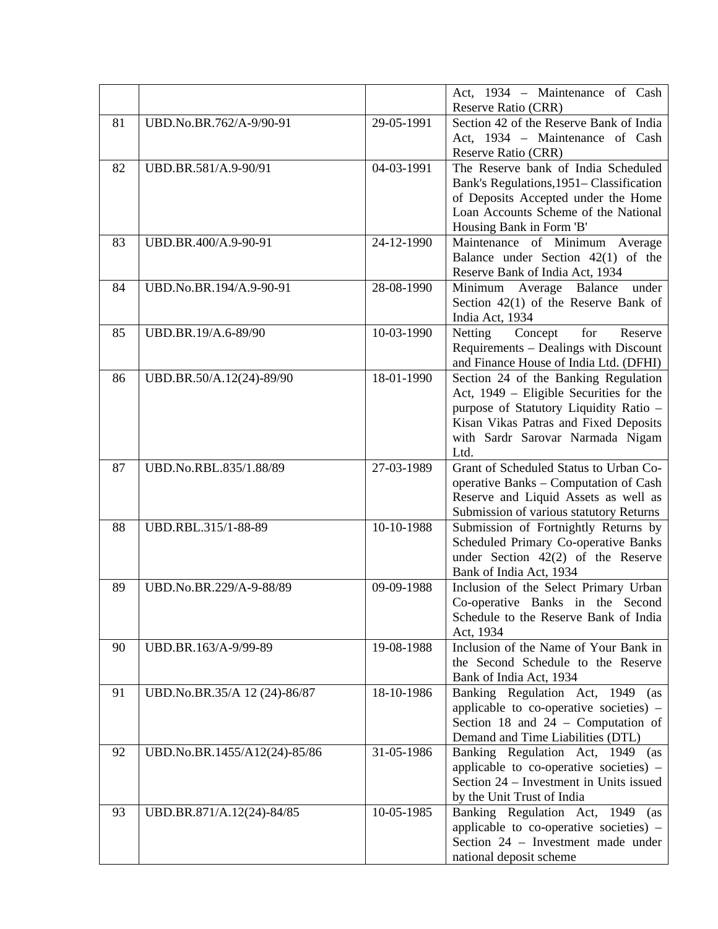|    |                              |            | Act, 1934 – Maintenance of Cash                                 |
|----|------------------------------|------------|-----------------------------------------------------------------|
|    |                              |            | <b>Reserve Ratio (CRR)</b>                                      |
| 81 | UBD.No.BR.762/A-9/90-91      | 29-05-1991 | Section 42 of the Reserve Bank of India                         |
|    |                              |            | Act, 1934 - Maintenance of Cash                                 |
|    |                              |            | Reserve Ratio (CRR)                                             |
| 82 | UBD.BR.581/A.9-90/91         | 04-03-1991 | The Reserve bank of India Scheduled                             |
|    |                              |            | Bank's Regulations, 1951 - Classification                       |
|    |                              |            | of Deposits Accepted under the Home                             |
|    |                              |            | Loan Accounts Scheme of the National                            |
|    |                              |            | Housing Bank in Form 'B'                                        |
| 83 | UBD.BR.400/A.9-90-91         | 24-12-1990 | Maintenance of Minimum Average                                  |
|    |                              |            | Balance under Section $42(1)$ of the                            |
|    |                              |            | Reserve Bank of India Act, 1934                                 |
| 84 | UBD.No.BR.194/A.9-90-91      | 28-08-1990 | Minimum Average Balance<br>under                                |
|    |                              |            | Section $42(1)$ of the Reserve Bank of                          |
|    |                              |            | India Act, 1934                                                 |
| 85 | UBD.BR.19/A.6-89/90          | 10-03-1990 | Concept<br>for<br>Netting<br>Reserve                            |
|    |                              |            | Requirements - Dealings with Discount                           |
|    |                              |            | and Finance House of India Ltd. (DFHI)                          |
| 86 | UBD.BR.50/A.12(24)-89/90     | 18-01-1990 | Section 24 of the Banking Regulation                            |
|    |                              |            | Act, 1949 – Eligible Securities for the                         |
|    |                              |            | purpose of Statutory Liquidity Ratio -                          |
|    |                              |            | Kisan Vikas Patras and Fixed Deposits                           |
|    |                              |            | with Sardr Sarovar Narmada Nigam                                |
|    |                              |            | Ltd.                                                            |
| 87 | UBD.No.RBL.835/1.88/89       | 27-03-1989 | Grant of Scheduled Status to Urban Co-                          |
|    |                              |            | operative Banks - Computation of Cash                           |
|    |                              |            | Reserve and Liquid Assets as well as                            |
|    |                              |            | Submission of various statutory Returns                         |
| 88 | UBD.RBL.315/1-88-89          | 10-10-1988 | Submission of Fortnightly Returns by                            |
|    |                              |            | Scheduled Primary Co-operative Banks                            |
|    |                              |            | under Section $42(2)$ of the Reserve<br>Bank of India Act, 1934 |
| 89 | UBD.No.BR.229/A-9-88/89      | 09-09-1988 | Inclusion of the Select Primary Urban                           |
|    |                              |            | Co-operative Banks in the Second                                |
|    |                              |            | Schedule to the Reserve Bank of India                           |
|    |                              |            | Act, 1934                                                       |
| 90 | UBD.BR.163/A-9/99-89         | 19-08-1988 | Inclusion of the Name of Your Bank in                           |
|    |                              |            | the Second Schedule to the Reserve                              |
|    |                              |            | Bank of India Act, 1934                                         |
| 91 | UBD.No.BR.35/A 12 (24)-86/87 | 18-10-1986 | Banking Regulation Act, 1949 (as                                |
|    |                              |            | applicable to co-operative societies) –                         |
|    |                              |            | Section 18 and $24$ – Computation of                            |
|    |                              |            | Demand and Time Liabilities (DTL)                               |
| 92 | UBD.No.BR.1455/A12(24)-85/86 | 31-05-1986 | Banking Regulation Act, 1949 (as                                |
|    |                              |            | applicable to co-operative societies) -                         |
|    |                              |            | Section 24 – Investment in Units issued                         |
|    |                              |            | by the Unit Trust of India                                      |
| 93 | UBD.BR.871/A.12(24)-84/85    | 10-05-1985 | Banking Regulation Act, 1949<br>(as                             |
|    |                              |            | applicable to co-operative societies) $-$                       |
|    |                              |            | Section 24 - Investment made under                              |
|    |                              |            | national deposit scheme                                         |